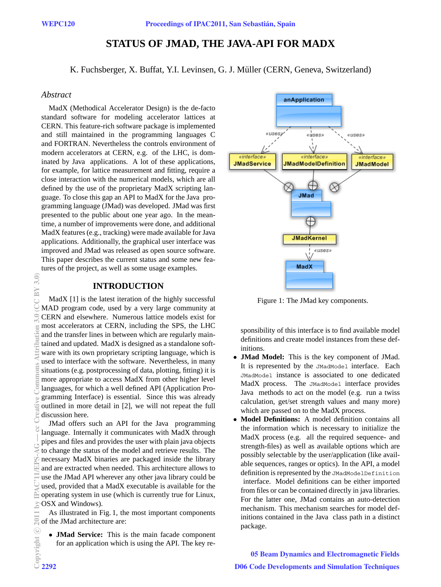# **STATUS OF JMAD, THE JAVA-API FOR MADX**

K. Fuchsberger, X. Buffat, Y.I. Levinsen, G. J. Müller (CERN, Geneva, Switzerland)

#### *Abstract*

MadX (Methodical Accelerator Design) is the de-facto standard software for modeling accelerator lattices at CERN. This feature-rich software package is implemented and still maintained in the programming languages C and FORTRAN. Nevertheless the controls environment of modern accelerators at CERN, e.g. of the LHC, is dominated by Java applications. A lot of these applications, for example, for lattice measurement and fitting, require a close interaction with the numerical models, which are all defined by the use of the proprietary MadX scripting language. To close this gap an API to MadX for the Java programming language (JMad) was developed. JMad was first presented to the public about one year ago. In the meantime, a number of improvements were done, and additional MadX features (e.g., tracking) were made available for Java applications. Additionally, the graphical user interface was improved and JMad was released as open source software. This paper describes the current status and some new features of the project, as well as some usage examples.

### **INTRODUCTION**

MadX [1] is the latest iteration of the highly successful MAD program code, used by a very large community at CERN and elsewhere. Numerous lattice models exist for most accelerators at CERN, including the SPS, the LHC and the transfer lines in between which are regularly maintained and updated. MadX is designed as a standalone software with its own proprietary scripting language, which is used to interface with the software. Nevertheless, in many situations (e.g. postprocessing of data, plotting, fitting) it is more appropriate to access MadX from other higher level languages, for which a well defined API (Application Programming Interface) is essential. Since this was already outlined in more detail in [2], we will not repeat the full discussion here.

JMad offers such an API for the Java programming language. Internally it communicates with MadX through pipes and files and provides the user with plain java objects to change the status of the model and retrieve results. The necessary MadX binaries are packaged inside the library and are extracted when needed. This architecture allows to use the JMad API wherever any other java library could be used, provided that a MadX executable is available for the operating system in use (which is currently true for Linux, OSX and Windows).

As illustrated in Fig. 1, the most important components  $\sum_{n=1}^{\infty}$  of the JMad architecture are:

*•* **JMad Service:** This is the main facade component for an application which is using the API. The key re-



Figure 1: The JMad key components.

sponsibility of this interface is to find available model definitions and create model instances from these definitions.

- *•* **JMad Model:** This is the key component of JMad. It is represented by the JMadModel interface. Each JMadModel instance is associated to one dedicated MadX process. The JMadModel interface provides Java methods to act on the model (e.g. run a twiss calculation, get/set strength values and many more) which are passed on to the MadX process.
- *•* **Model Definitions:** A model definition contains all the information which is necessary to initialize the MadX process (e.g. all the required sequence- and strength-files) as well as available options which are possibly selectable by the user/application (like available sequences, ranges or optics). In the API, a model definition is represented by the JMadModelDefinition interface. Model definitions can be either imported from files or can be contained directly in java libraries. For the latter one, JMad contains an auto-detection mechanism. This mechanism searches for model definitions contained in the Java class path in a distinct package.

05 Beam Dynamics and Electromagnetic Fields D06 Code Developments and Simulation Techniques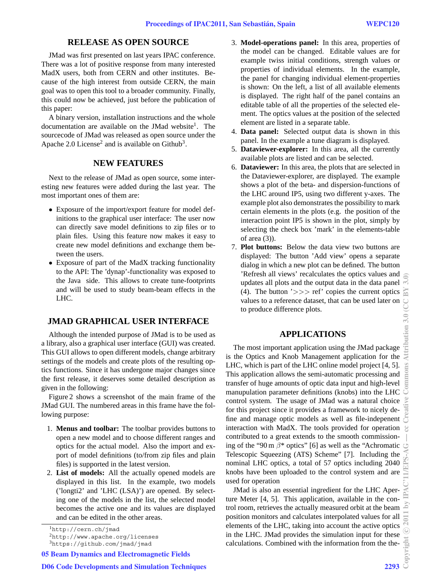## **RELEASE AS OPEN SOURCE**

JMad was first presented on last years IPAC conference. There was a lot of positive response from many interested MadX users, both from CERN and other institutes. Because of the high interest from outside CERN, the main goal was to open this tool to a broader community. Finally, this could now be achieved, just before the publication of this paper:

A binary version, installation instructions and the whole documentation are available on the JMad website<sup>1</sup>. The sourcecode of JMad was released as open source under the Apache  $2.0$  License<sup>2</sup> and is available on Github<sup>3</sup>.

### **NEW FEATURES**

Next to the release of JMad as open source, some interesting new features were added during the last year. The most important ones of them are:

- *•* Exposure of the import/export feature for model definitions to the graphical user interface: The user now can directly save model definitions to zip files or to plain files. Using this feature now makes it easy to create new model definitions and exchange them between the users.
- *•* Exposure of part of the MadX tracking functionality to the API: The 'dynap'-functionality was exposed to the Java side. This allows to create tune-footprints and will be used to study beam-beam effects in the LHC.

## **JMAD GRAPHICAL USER INTERFACE**

Although the intended purpose of JMad is to be used as a library, also a graphical user interface (GUI) was created. This GUI allows to open different models, change arbitrary settings of the models and create plots of the resulting optics functions. Since it has undergone major changes since the first release, it deserves some detailed description as given in the following:

Figure 2 shows a screenshot of the main frame of the JMad GUI. The numbered areas in this frame have the following purpose:

- 1. **Menus and toolbar:** The toolbar provides buttons to open a new model and to choose different ranges and optics for the actual model. Also the import and export of model definitions (to/from zip files and plain files) is supported in the latest version.
- 2. **List of models:** All the actually opened models are displayed in this list. In the example, two models ('longti2' and 'LHC (LSA)') are opened. By selecting one of the models in the list, the selected model becomes the active one and its values are displayed and can be edited in the other areas.

 $<sup>2</sup>$ http://www.apache.org/licenses</sup>

05 Beam Dynamics and Electromagnetic Fields

- 3. **Model-operations panel:** In this area, properties of the model can be changed. Editable values are for example twiss initial conditions, strength values or properties of individual elements. In the example, the panel for changing individual element-properties is shown: On the left, a list of all available elements is displayed. The right half of the panel contains an editable table of all the properties of the selected element. The optics values at the position of the selected element are listed in a separate table.
- 4. **Data panel:** Selected output data is shown in this panel. In the example a tune diagram is displayed.
- 5. **Dataviewer-explorer:** In this area, all the currently available plots are listed and can be selected.
- 6. **Dataviewer:** In this area, the plots that are selected in the Dataviewer-explorer, are displayed. The example shows a plot of the beta- and dispersion-functions of the LHC around IP5, using two different y-axes. The example plot also demonstrates the possibility to mark certain elements in the plots (e.g. the position of the interaction point IP5 is shown in the plot, simply by selecting the check box 'mark' in the elements-table of area (3)).
- 7. **Plot buttons:** Below the data view two buttons are displayed: The button 'Add view' opens a separate dialog in which a new plot can be defined. The button 'Refresh all views' recalculates the optics values and updates all plots and the output data in the data panel (4). The button  $\ge$  >> ref' copies the current optics values to a reference dataset, that can be used later on to produce difference plots.

## **APPLICATIONS**

The most important application using the JMad package is the Optics and Knob Management application for the LHC, which is part of the LHC online model project [4, 5]. This application allows the semi-automatic processing and transfer of huge amounts of optic data input and high-level manupulation parameter definitions (knobs) into the LHC control system. The usage of JMad was a natural choice for this project since it provides a framework to nicely define and manage optic models as well as file-indepenent interaction with MadX. The tools provided for operation contributed to a great extends to the smooth commissioning of the "90 m  $\beta$ \* optics" [6] as well as the "Achromatic Telescopic Squeezing (ATS) Scheme" [7]. Including the nominal LHC optics, a total of 57 optics including 2040 knobs have been uploaded to the control system and are used for operation

JMad is also an essential ingredient for the LHC Aperture Meter [4, 5]. This application, available in the control room, retrieves the actually measured orbit at the beam position monitors and calculates interpolated values for all elements of the LHC, taking into account the active optics in the LHC. JMad provides the simulation input for these calculations. Combined with the information from the the-

<sup>1</sup>http://cern.ch/jmad

<sup>3</sup>https://github.com/jmad/jmad